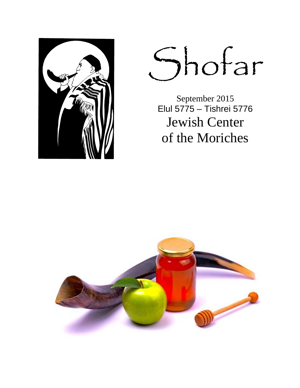

Shofar

September 2015<br>Elul 5775 – Tishrei 5776 **Jewish Center** of the Moriches

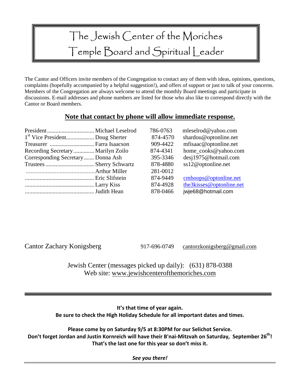# The Jewish Center of the Moriches Temple Board and Spiritual Leader

The Cantor and Officers invite members of the Congregation to contact any of them with ideas, opinions, questions, complaints (hopefully accompanied by a helpful suggestion!), and offers of support or just to talk of your concerns. Members of the Congregation are always welcome to attend the monthly Board meetings and participate in discussions. E-mail addresses and phone numbers are listed for those who also like to correspond directly with the Cantor or Board members.

#### **Note that contact by phone will allow immediate response.**

|                                    | 786-0763 | mleselrod@yahoo.com      |
|------------------------------------|----------|--------------------------|
|                                    | 874-4570 | shardou@optonline.net    |
|                                    | 909-4422 | mfisaac@optonline.net    |
| Recording Secretary  Marilyn Zoilo | 874-4341 | home_cooks@yahoo.com     |
| Corresponding Secretary Donna Ash  | 395-3346 | desj1975@hotmail.com     |
|                                    | 878-4880 | ss12@optonline.net       |
|                                    | 281-0012 |                          |
|                                    | 874-9449 | cmhoops@optonline.net    |
|                                    | 874-4928 | the3kisses@optonline.net |
|                                    | 878-0466 | jwje68@hotmail.com       |

Cantor Zachary Konigsberg 917-696-0749 cantorzkonigsberg@gmail.com

Jewish Center (messages picked up daily): (631) 878-0388 Web site: www.jewishcenterofthemoriches.com

**It's that time of year again. Be sure to check the High Holiday Schedule for all important dates and times.** 

**Please come by on Saturday 9/5 at 8:30PM for our Selichot Service. Don't forget Jordan and Justin Kornreich will have their B'nai-Mitzvah on Saturday, September 26th! That's the last one for this year so don't miss it.**

*See you there!*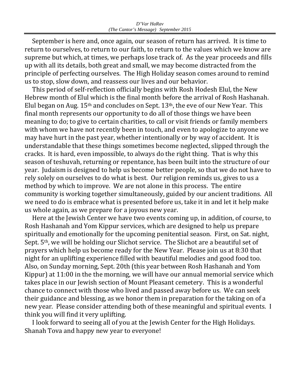September is here and, once again, our season of return has arrived. It is time to return to ourselves, to return to our faith, to return to the values which we know are supreme but which, at times, we perhaps lose track of. As the year proceeds and fills up with all its details, both great and small, we may become distracted from the principle of perfecting ourselves. The High Holiday season comes around to remind us to stop, slow down, and reassess our lives and our behavior.

 This period of self-reflection officially begins with Rosh Hodesh Elul, the New Hebrew month of Elul which is the final month before the arrival of Rosh Hashanah. Elul began on Aug.  $15<sup>th</sup>$  and concludes on Sept.  $13<sup>th</sup>$ , the eve of our New Year. This final month represents our opportunity to do all of those things we have been meaning to do; to give to certain charities, to call or visit friends or family members with whom we have not recently been in touch, and even to apologize to anyone we may have hurt in the past year, whether intentionally or by way of accident. It is understandable that these things sometimes become neglected, slipped through the cracks. It is hard, even impossible, to always do the right thing. That is why this season of teshuvah, returning or repentance, has been built into the structure of our year. Judaism is designed to help us become better people, so that we do not have to rely solely on ourselves to do what is best. Our religion reminds us, gives to us a method by which to improve. We are not alone in this process. The entire community is working together simultaneously, guided by our ancient traditions. All we need to do is embrace what is presented before us, take it in and let it help make us whole again, as we prepare for a joyous new year.

 Here at the Jewish Center we have two events coming up, in addition, of course, to Rosh Hashanah and Yom Kippur services, which are designed to help us prepare spiritually and emotionally for the upcoming penitential season. First, on Sat. night, Sept. 5th, we will be holding our Slichot service. The Slichot are a beautiful set of prayers which help us become ready for the New Year. Please join us at 8:30 that night for an uplifting experience filled with beautiful melodies and good food too. Also, on Sunday morning, Sept. 20th (this year between Rosh Hashanah and Yom Kippur) at 11:00 in the the morning, we will have our annual memorial service which takes place in our Jewish section of Mount Pleasant cemetery. This is a wonderful chance to connect with those who lived and passed away before us. We can seek their guidance and blessing, as we honor them in preparation for the taking on of a new year. Please consider attending both of these meaningful and spiritual events. I think you will find it very uplifting.

 I look forward to seeing all of you at the Jewish Center for the High Holidays. Shanah Tova and happy new year to everyone!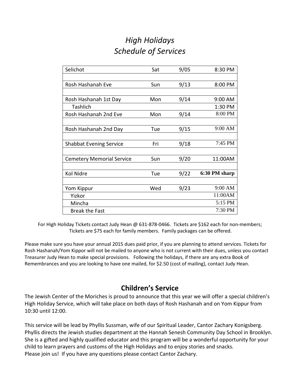# *High Holidays Schedule of Services*

| Selichot                         | Sat | 9/05 | 8:30 PM       |
|----------------------------------|-----|------|---------------|
|                                  |     |      |               |
| Rosh Hashanah Eve                | Sun | 9/13 | 8:00 PM       |
|                                  |     |      |               |
| Rosh Hashanah 1st Day            | Mon | 9/14 | 9:00 AM       |
| <b>Tashlich</b>                  |     |      | 1:30 PM       |
| Rosh Hashanah 2nd Eve            | Mon | 9/14 | 8:00 PM       |
|                                  |     |      |               |
| Rosh Hashanah 2nd Day            | Tue | 9/15 | 9:00 AM       |
|                                  |     |      |               |
| <b>Shabbat Evening Service</b>   | Fri | 9/18 | 7:45 PM       |
|                                  |     |      |               |
| <b>Cemetery Memorial Service</b> | Sun | 9/20 | 11:00AM       |
|                                  |     |      |               |
| Kol Nidre                        | Tue | 9/22 | 6:30 PM sharp |
|                                  |     |      |               |
| Yom Kippur                       | Wed | 9/23 | 9:00 AM       |
| Yizkor                           |     |      | 11:00AM       |
| Mincha                           |     |      | 5:15 PM       |
| <b>Break the Fast</b>            |     |      | 7:30 PM       |

For High Holiday Tickets contact Judy Hean @ 631-878-0466. Tickets are \$162 each for non-members; Tickets are \$75 each for family members. Family packages can be offered.

Please make sure you have your annual 2015 dues paid prior, if you are planning to attend services. Tickets for Rosh Hashanah/Yom Kippor will not be mailed to anyone who is not current with their dues, unless you contact Treasurer Judy Hean to make special provisions. Following the holidays, if there are any extra Book of Remembrances and you are looking to have one mailed, for \$2.50 (cost of mailing), contact Judy Hean.

## **Children's Service**

The Jewish Center of the Moriches is proud to announce that this year we will offer a special children's High Holiday Service, which will take place on both days of Rosh Hashanah and on Yom Kippur from 10:30 until 12:00.

This service will be lead by Phyllis Sussman, wife of our Spiritual Leader, Cantor Zachary Konigsberg. Phyllis directs the Jewish studies department at the Hannah Senesh Community Day School in Brooklyn. She is a gifted and highly qualified educator and this program will be a wonderful opportunity for your child to learn prayers and customs of the High Holidays and to enjoy stories and snacks. Please join us! If you have any questions please contact Cantor Zachary.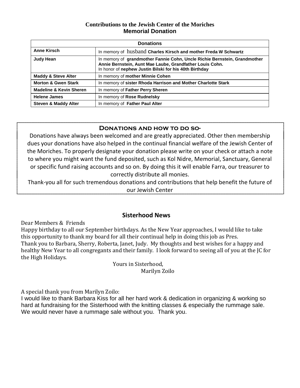#### **Contributions to the Jewish Center of the Moriches Memorial Donation**

| <b>Donations</b>                   |                                                                                                                                                                                                 |  |  |  |  |
|------------------------------------|-------------------------------------------------------------------------------------------------------------------------------------------------------------------------------------------------|--|--|--|--|
| <b>Anne Kirsch</b>                 | In memory of husband Charles Kirsch and mother Freda W Schwartz                                                                                                                                 |  |  |  |  |
| <b>Judy Hean</b>                   | In memory of grandmother Fannie Cohn, Uncle Richie Bernstein, Grandmother<br>Annie Bernstein, Aunt Mae Laube, Grandfather Louis Cohn.<br>In honor of nephew Justin Bilski for his 40th Birthday |  |  |  |  |
| <b>Maddy &amp; Steve Alter</b>     | In memory of mother Minnie Cohen                                                                                                                                                                |  |  |  |  |
| <b>Morton &amp; Gwen Stark</b>     | In memory of sister Rhoda Harrison and Mother Charlotte Stark                                                                                                                                   |  |  |  |  |
| <b>Madeline &amp; Kevin Sheren</b> | In memory of Father Perry Sheren                                                                                                                                                                |  |  |  |  |
| <b>Helene James</b>                | In memory of Rose Rudnelsky                                                                                                                                                                     |  |  |  |  |
| <b>Steven &amp; Maddy Alter</b>    | In memory of Father Paul Alter                                                                                                                                                                  |  |  |  |  |

#### **Donations and how to do so-**

Donations have always been welcomed and are greatly appreciated. Other then membership dues your donations have also helped in the continual financial welfare of the Jewish Center of the Moriches. To properly designate your donation please write on your check or attach a note to where you might want the fund deposited, such as Kol Nidre, Memorial, Sanctuary, General or specific fund raising accounts and so on. By doing this it will enable Farra, our treasurer to correctly distribute all monies.

Thank-you all for such tremendous donations and contributions that help benefit the future of our Jewish Center

#### **Sisterhood News**

Dear Members & Friends

Happy birthday to all our September birthdays. As the New Year approaches, I would like to take this opportunity to thank my board for all their continual help in doing this job as Pres. Thank you to Barbara, Sherry, Roberta, Janet, Judy. My thoughts and best wishes for a happy and healthy New Year to all congregants and their family. I look forward to seeing all of you at the JC for the High Holidays.

 Yours in Sisterhood, Marilyn Zoilo

A special thank you from Marilyn Zoilo:

I would like to thank Barbara Kiss for all her hard work & dedication in organizing & working so hard at fundraising for the Sisterhood with the knitting classes & especially the rummage sale. We would never have a rummage sale without you. Thank you.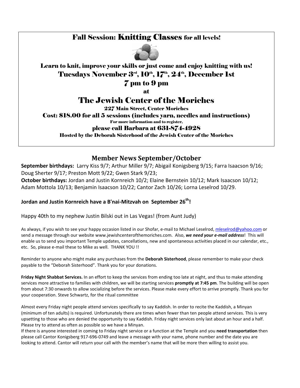## Fall Session: Knitting Classes for all levels!



### Learn to knit, improve your skills or just come and enjoy knitting with us! Tuesdays November 3<sup>rd</sup>, 10<sup>th</sup>, 17<sup>th</sup>, 24<sup>th</sup>, December 1st

7 pm to 9 pm

at

# The Jewish Center of the Moriches

227 Main Street, Center Moriches

Cost: \$18.00 for all 5 sessions (includes yarn, needles and instructions)

For more information and to register,

#### please call Barbara at 631-874-4928

Hosted by the Deborah Sisterhood of the Jewish Center of the Moriches

### **Member News September/October**

**September birthdays:** Larry Kiss 9/7; Arthur Miller 9/7; Abigail Konigsberg 9/15; Farra Isaacson 9/16; Doug Sherter 9/17; Preston Mott 9/22; Gwen Stark 9/23;

**October birthdays:** Jordan and Justin Kornreich 10/2; Elaine Bernstein 10/12; Mark Isaacson 10/12; Adam Mottola 10/13; Benjamin Isaacson 10/22; Cantor Zach 10/26; Lorna Leselrod 10/29.

#### **Jordan and Justin Kornreich have a B'nai-Mitzvah on September 26th!**

Happy 40th to my nephew Justin Bilski out in Las Vegas! (from Aunt Judy)

As always, if you wish to see your happy occasion listed in our Shofar, e-mail to Michael Leselrod, mleselrod@yahoo.com or send a message through our website www.jewishcenterofthemoriches.com. Also, *we need your e-mail address*! This will enable us to send you important Temple updates, cancellations, new and spontaneous activities placed in our calendar, etc., etc. So, please e-mail these to Mike as well. THANK YOU !!

Reminder to anyone who might make any purchases from the **Deborah Sisterhood**, please remember to make your check payable to the "Deborah Sisterhood". Thank you for your donations.

**Friday Night Shabbat Services.** In an effort to keep the services from ending too late at night, and thus to make attending services more attractive to families with children, we will be starting services **promptly at 7:45 pm**. The building will be open from about 7:30 onwards to allow socializing before the services. Please make every effort to arrive promptly. Thank you for your cooperation. Steve Schwartz, for the ritual committee

Almost every Friday night people attend services specifically to say Kaddish. In order to recite the Kaddish, a Minyan (minimum of ten adults) is required. Unfortunately there are times when fewer than ten people attend services. This is very upsetting to those who are denied the opportunity to say Kaddish. Friday night services only last about an hour and a half. Please try to attend as often as possible so we have a Minyan.

If there is anyone interested in coming to Friday night service or a function at the Temple and you **need transportation** then please call Cantor Konigsberg 917-696-0749 and leave a message with your name, phone number and the date you are looking to attend. Cantor will return your call with the member's name that will be more then willing to assist you.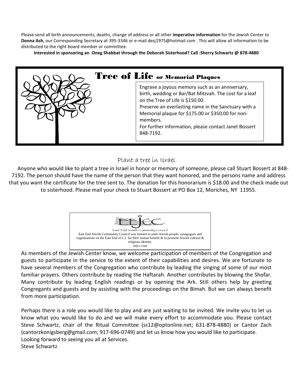Please send all birth announcements, deaths, change of address or all other **imperative information** for the Jewish Center to **Donna Ash**, our Corresponding Secretary at 395-3346 or e-mail desj1975@hotmail.com . This will allow all information to be distributed to the right board member or committee.

**Interested in sponsoring an Oneg Shabbat through the Deborah Sisterhood? Call :Sherry Schwartz @ 878-4880** 



#### Plant a tree in Israel

Anyone who would like to plant a tree in Israel in honor or memory of someone, please call Stuart Bossert at 848- 7192. The person should have the name of the person that they want honored, and the persons name and address that you want the certificate for the tree sent to. The donation for this honorarium is \$18.00 and the check made out to sisterhood. Please mail your check to Stuart Bossert at PO Box 12, Moriches, NY 11955.



As members of the Jewish Center know, we welcome participation of members of the Congregation and guests to participate in the service to the extent of their capabilities and desires. We are fortunate to have several members of the Congregation who contribute by leading the singing of some of our most familiar prayers. Others contribute by reading the Haftarah. Another contributes by blowing the Shofar. Many contribute by leading English readings or by opening the Ark. Still others help by greeting Congregants and guests and by assisting with the proceedings on the Bimah. But we can always benefit from more participation.

Perhaps there is a role you would like to play and are just waiting to be invited. We invite you to let us know what you would like to do and we will make every effort to accommodate you. Please contact Steve Schwartz, chair of the Ritual Committee (ss12@optonline.net; 631-878-4880) or Cantor Zach (cantorzkonigsberg@gmail.com; 917-696-0749) and let us know how you would like to participate. Looking forward to seeing you all at Services. Steve Schwartz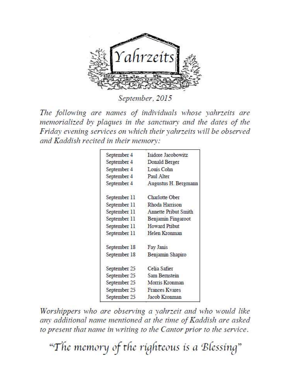

September, 2015

The following are names of individuals whose yahrzeits are memorialized by plaques in the sanctuary and the dates of the Friday evening services on which their yahrzeits will be observed and Kaddish recited in their memory:

| September 4  | Isidore Jacobowitz          |
|--------------|-----------------------------|
| September 4  | Donald Berger               |
| September 4  | Louis Cohn                  |
| September 4  | Paul Alter                  |
| September 4  | Augustus H. Bergmann        |
| September 11 | Charlotte Ober              |
| September 11 | Rhoda Harrison              |
| September 11 | <b>Annette Pribut Smith</b> |
| September 11 | Benjamin Fingaroot          |
| September 11 | <b>Howard Pribut</b>        |
| September 11 | Helen Kronman               |
| September 18 | Fay Janis                   |
| September 18 | Benjamin Shapiro            |
| September 25 | Celia Safier                |
| September 25 | Sam Bernstein               |
| September 25 | Morris Kronman              |
| September 25 | <b>Frances Kvares</b>       |
| September 25 | Jacob Kronman               |

Worshippers who are observing a yahrzeit and who would like any additional name mentioned at the time of Kaddish are asked to present that name in writing to the Cantor prior to the service.

"The memory of the righteous is a Blessing"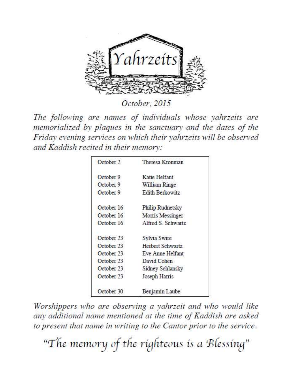

October, 2015

The following are names of individuals whose yahrzeits are memorialized by plaques in the sanctuary and the dates of the Friday evening services on which their vahrzeits will be observed and Kaddish recited in their memory:

| October 2  | Theresa Kronman    |  |
|------------|--------------------|--|
| October 9  | Katie Helfant      |  |
| October 9  | William Ringe      |  |
| October 9  | Edith Berkowitz    |  |
| October 16 | Philip Rudnetsky   |  |
| October 16 | Moms Messinger     |  |
| October 16 | Alfred S. Schwartz |  |
| October 23 | Sylvia Swire       |  |
| October 23 | Herbert Schwartz   |  |
| October 23 | Eve Anne Helfant   |  |
| October 23 | David Cohen        |  |
| October 23 | Sidney Schlansky   |  |
| October 23 | Joseph Harris      |  |
| October 30 | Benjamin Laube     |  |

Worshippers who are observing a yahrzeit and who would like any additional name mentioned at the time of Kaddish are asked to present that name in writing to the Cantor prior to the service.

"The memory of the righteous is a Blessing"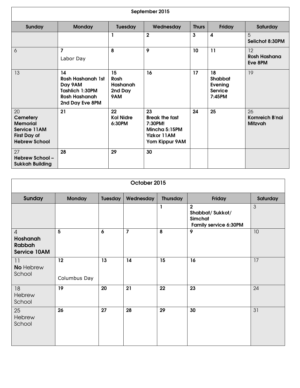| September 2015                                                                                   |                                                                                                         |                                          |                                                                                                 |              |                                                             |                                         |
|--------------------------------------------------------------------------------------------------|---------------------------------------------------------------------------------------------------------|------------------------------------------|-------------------------------------------------------------------------------------------------|--------------|-------------------------------------------------------------|-----------------------------------------|
| Sunday                                                                                           | <b>Monday</b>                                                                                           | <b>Tuesday</b>                           | Wednesday                                                                                       | <b>Thurs</b> | Friday                                                      | Saturday                                |
|                                                                                                  |                                                                                                         |                                          | $\overline{2}$                                                                                  | $\mathbf{3}$ | $\boldsymbol{4}$                                            | 5<br>Selichot 8:30PM                    |
| 6                                                                                                | $\overline{7}$<br>Labor Day                                                                             | 8                                        | 9                                                                                               | 10           | 11                                                          | 12<br><b>Rosh Hashana</b><br>Eve 8PM    |
| 13                                                                                               | 14<br><b>Rosh Hashanah 1st</b><br>Day 9AM<br>Tashlich 1:30PM<br><b>Rosh Hashanah</b><br>2nd Day Eve 8PM | 15<br>Rosh<br>Hashanah<br>2nd Day<br>9AM | 16                                                                                              | 17           | 18<br><b>Shabbat</b><br>Evening<br><b>Service</b><br>7:45PM | 19                                      |
| 20<br><b>Cemetery</b><br><b>Memorial</b><br>Service 11AM<br>First Day of<br><b>Hebrew School</b> | 21                                                                                                      | 22<br><b>Kol Nidre</b><br>6:30PM         | 23<br><b>Break the fast</b><br>7:30PM!<br>Mincha 5:15PM<br><b>Yizkor 11AM</b><br>Yom Kippur 9AM | 24           | 25                                                          | 26<br>Kornreich B'nai<br><b>Mitzvah</b> |
| 27<br><b>Hebrew School -</b><br><b>Sukkah Building</b>                                           | 28                                                                                                      | 29                                       | 30                                                                                              |              |                                                             |                                         |

| October 2015                                                       |                    |                |                |                 |                                                                              |                |
|--------------------------------------------------------------------|--------------------|----------------|----------------|-----------------|------------------------------------------------------------------------------|----------------|
| <b>Sunday</b>                                                      | <b>Monday</b>      | <b>Tuesday</b> | Wednesday      | <b>Thursday</b> | Friday                                                                       | Saturday       |
|                                                                    |                    |                |                | 1               | $\overline{2}$<br>Shabbat/Sukkot/<br>Simchat<br><b>Family service 6:30PM</b> | $\mathfrak{S}$ |
| $\overline{4}$<br>Hoshanah<br><b>Rabbah</b><br><b>Service 10AM</b> | $5\phantom{a}$     | 6              | $\overline{7}$ | 8               | 9                                                                            | 10             |
| 11<br><b>No Hebrew</b><br>School                                   | 12<br>Columbus Day | 13             | 14             | 15              | 16                                                                           | 17             |
| 18<br>Hebrew<br>School                                             | 19                 | 20             | 21             | 22              | 23                                                                           | 24             |
| 25<br>Hebrew<br>School                                             | 26                 | 27             | 28             | 29              | 30                                                                           | 31             |